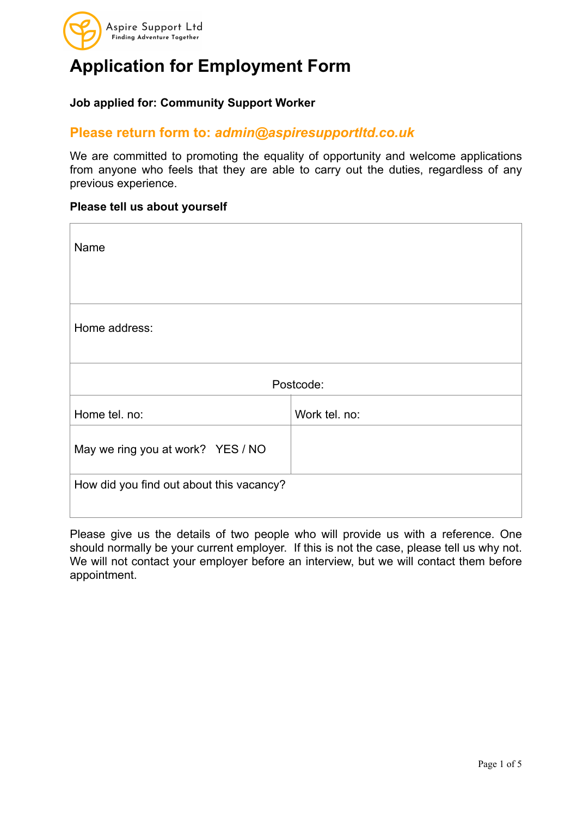

#### **Job applied for: Community Support Worker**

### **Please return form to:** *admin@aspiresupportltd.co.uk*

We are committed to promoting the equality of opportunity and welcome applications from anyone who feels that they are able to carry out the duties, regardless of any previous experience.

#### **Please tell us about yourself**

| Name                                     |               |  |
|------------------------------------------|---------------|--|
| Home address:                            |               |  |
| Postcode:                                |               |  |
| Home tel. no:                            | Work tel. no: |  |
| May we ring you at work? YES / NO        |               |  |
| How did you find out about this vacancy? |               |  |

Please give us the details of two people who will provide us with a reference. One should normally be your current employer. If this is not the case, please tell us why not. We will not contact your employer before an interview, but we will contact them before appointment.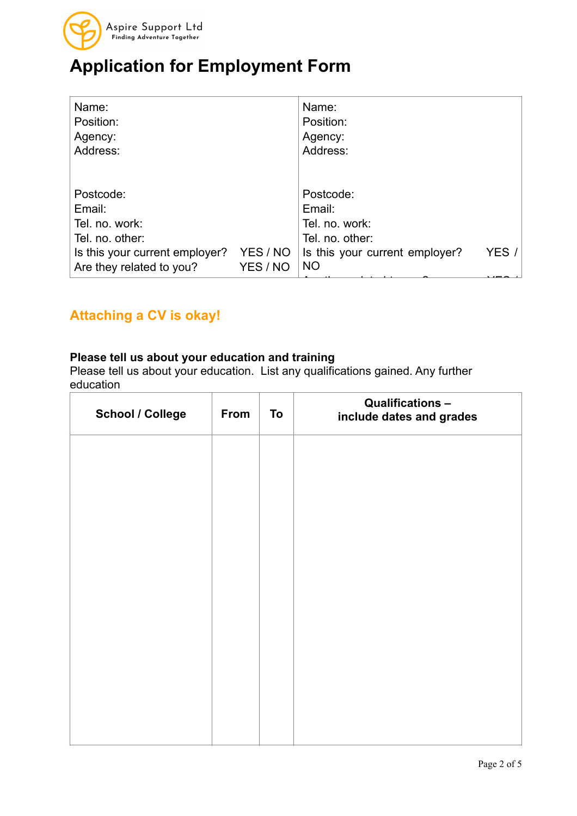

| Name:<br>Position:<br>Agency:<br>Address:                                                                              |                      | Name:<br>Position:<br>Agency:<br>Address:                                                               |       |
|------------------------------------------------------------------------------------------------------------------------|----------------------|---------------------------------------------------------------------------------------------------------|-------|
| Postcode:<br>Email:<br>Tel. no. work:<br>Tel. no. other:<br>Is this your current employer?<br>Are they related to you? | YES / NO<br>YES / NO | Postcode:<br>Email:<br>Tel. no. work:<br>Tel. no. other:<br>Is this your current employer?<br><b>NO</b> | YES / |

### **Attaching a CV is okay!**

#### **Please tell us about your education and training**

Please tell us about your education. List any qualifications gained. Any further education

| <b>School / College</b> | From | To | <b>Qualifications -</b><br>include dates and grades |
|-------------------------|------|----|-----------------------------------------------------|
|                         |      |    |                                                     |
|                         |      |    |                                                     |
|                         |      |    |                                                     |
|                         |      |    |                                                     |
|                         |      |    |                                                     |
|                         |      |    |                                                     |
|                         |      |    |                                                     |
|                         |      |    |                                                     |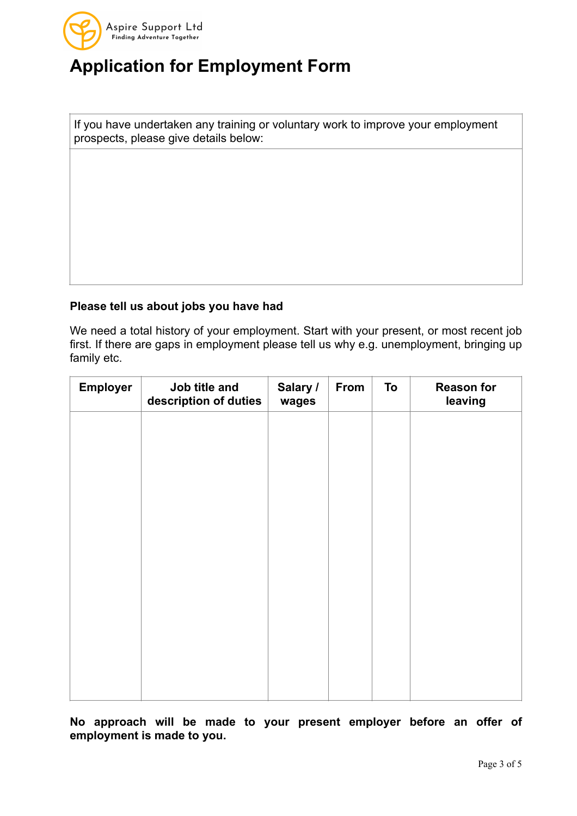

If you have undertaken any training or voluntary work to improve your employment prospects, please give details below:

### **Please tell us about jobs you have had**

We need a total history of your employment. Start with your present, or most recent job first. If there are gaps in employment please tell us why e.g. unemployment, bringing up family etc.

| <b>Employer</b> | Job title and<br>description of duties | Salary /<br>wages | From | To | <b>Reason for</b><br>leaving |
|-----------------|----------------------------------------|-------------------|------|----|------------------------------|
|                 |                                        |                   |      |    |                              |
|                 |                                        |                   |      |    |                              |
|                 |                                        |                   |      |    |                              |
|                 |                                        |                   |      |    |                              |
|                 |                                        |                   |      |    |                              |
|                 |                                        |                   |      |    |                              |
|                 |                                        |                   |      |    |                              |
|                 |                                        |                   |      |    |                              |
|                 |                                        |                   |      |    |                              |

**No approach will be made to your present employer before an offer of employment is made to you.**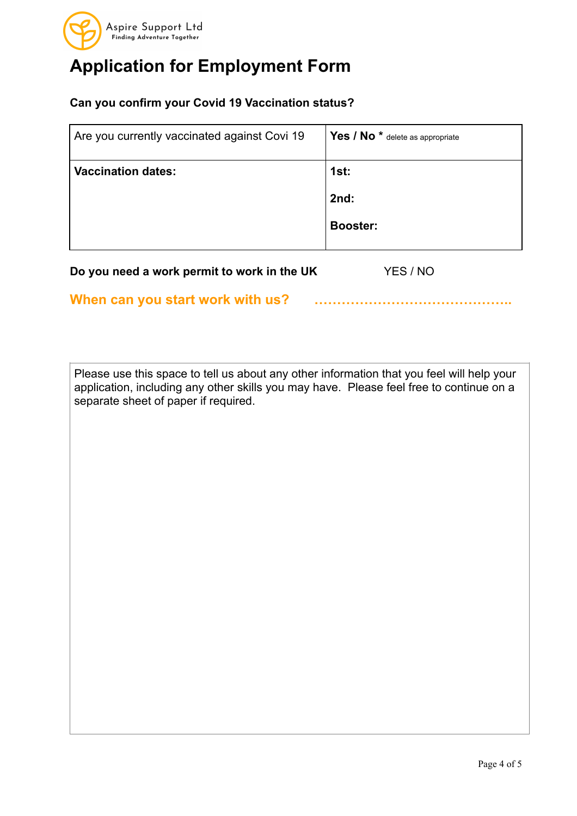

### **Can you confirm your Covid 19 Vaccination status?**

| Are you currently vaccinated against Covi 19 | Yes / No <sup>*</sup> delete as appropriate |
|----------------------------------------------|---------------------------------------------|
| <b>Vaccination dates:</b>                    | 1st:                                        |
|                                              | 2nd:                                        |
|                                              | <b>Booster:</b>                             |
|                                              |                                             |

**Do you need a work permit to work in the UK** YES / NO

**When can you start work with us? ……………………………………..**

Please use this space to tell us about any other information that you feel will help your application, including any other skills you may have. Please feel free to continue on a separate sheet of paper if required.